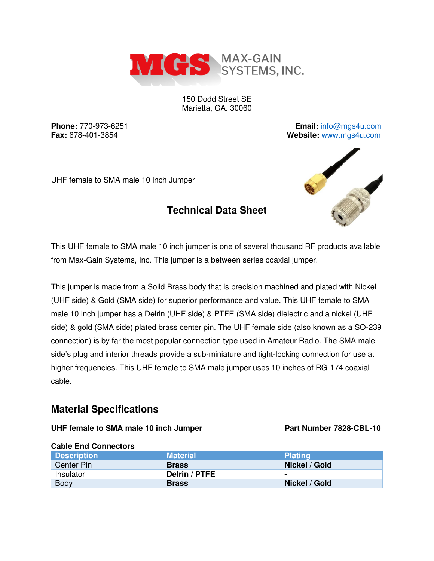

150 Dodd Street SE Marietta, GA. 30060

**Phone:** 770-973-6251 **Email:** [info@mgs4u.com](mailto:info@mgs4u.com) **Fax:** 678-401-3854 **Website:** [www.mgs4u.com](http://www.mgs4u.com/)

UHF female to SMA male 10 inch Jumper

This UHF female to SMA male 10 inch jumper is one of several thousand RF products available from Max-Gain Systems, Inc. This jumper is a between series coaxial jumper.

**Technical Data Sheet** 

This jumper is made from a Solid Brass body that is precision machined and plated with Nickel (UHF side) & Gold (SMA side) for superior performance and value. This UHF female to SMA male 10 inch jumper has a Delrin (UHF side) & PTFE (SMA side) dielectric and a nickel (UHF side) & gold (SMA side) plated brass center pin. The UHF female side (also known as a SO-239 connection) is by far the most popular connection type used in Amateur Radio. The SMA male side's plug and interior threads provide a sub-miniature and tight-locking connection for use at higher frequencies. This UHF female to SMA male jumper uses 10 inches of RG-174 coaxial cable.

## **Material Specifications**

## UHF female to SMA male 10 inch Jumper Part Number 7828-CBL-10

| <b>URBIC ETA UPITECIPIS</b> |                 |                |
|-----------------------------|-----------------|----------------|
| <b>Description</b>          | <b>Material</b> | <b>Plating</b> |
| Center Pin                  | <b>Brass</b>    | Nickel / Gold  |
| Insulator                   | Delrin / PTFE   | $\blacksquare$ |
| <b>Body</b>                 | <b>Brass</b>    | Nickel / Gold  |

## **Cable End Connectors**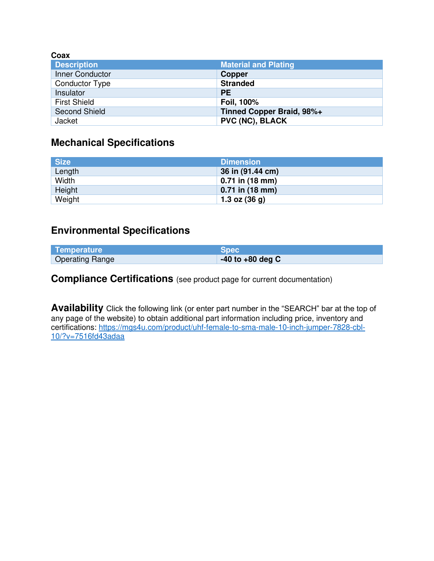| Coax                  |                             |
|-----------------------|-----------------------------|
| <b>Description</b>    | <b>Material and Plating</b> |
| Inner Conductor       | <b>Copper</b>               |
| <b>Conductor Type</b> | <b>Stranded</b>             |
| Insulator             | <b>PE</b>                   |
| <b>First Shield</b>   | Foil, 100%                  |
| <b>Second Shield</b>  | Tinned Copper Braid, 98%+   |
| Jacket                | <b>PVC (NC), BLACK</b>      |

# **Mechanical Specifications**

| <b>Size</b> | <b>Dimension</b>  |
|-------------|-------------------|
| Length      | 36 in (91.44 cm)  |
| Width       | $0.71$ in (18 mm) |
| Height      | $0.71$ in (18 mm) |
| Weight      | 1.3 oz $(36 g)$   |

# **Environmental Specifications**

| Temperature            | <b>Spec</b>          |
|------------------------|----------------------|
| <b>Operating Range</b> | $-40$ to $+80$ deg C |

**Compliance Certifications** (see product page for current documentation)

**Availability** Click the following link (or enter part number in the "SEARCH" bar at the top of any page of the website) to obtain additional part information including price, inventory and certifications: [https://mgs4u.com/product/uhf-female-to-sma-male-10-inch-jumper-7828-cbl-](https://mgs4u.com/product/uhf-female-to-sma-male-10-inch-jumper-7828-cbl-10/?v=7516fd43adaa)[10/?v=7516fd43adaa](https://mgs4u.com/product/uhf-female-to-sma-male-10-inch-jumper-7828-cbl-10/?v=7516fd43adaa)